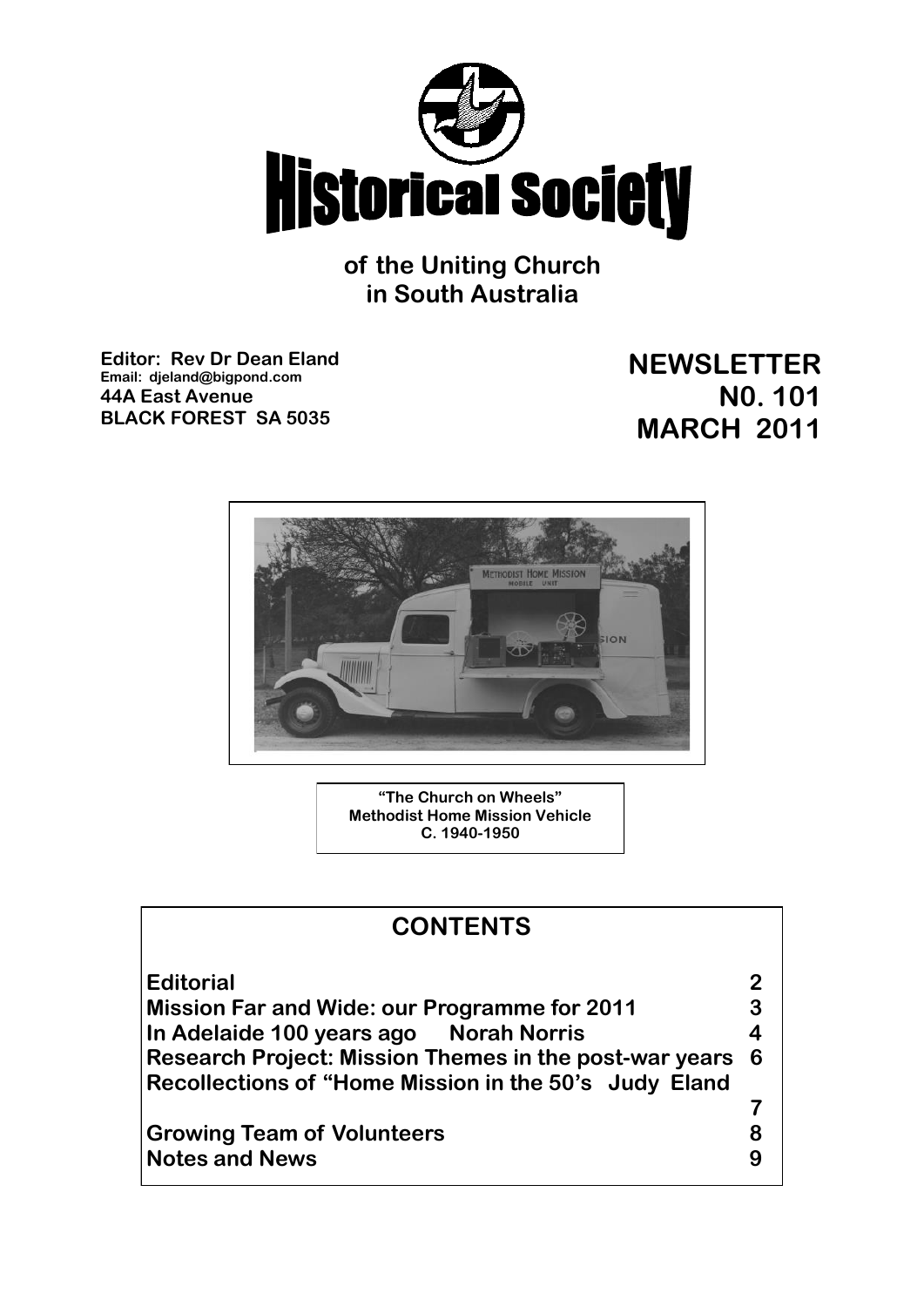

**of the Uniting Church in South Australia**

**Editor: Rev Dr Dean Eland Email: djeland@bigpond.com 44A East Avenue BLACK FOREST SA 5035**

**NEWSLETTER N0. 101 MARCH 2011**



**"The Church on Wheels" Methodist Home Mission Vehicle C. 1940-1950**

| <b>CONTENTS</b>                                                                                                   |   |
|-------------------------------------------------------------------------------------------------------------------|---|
| <b>Editorial</b>                                                                                                  |   |
| <b>Mission Far and Wide: our Programme for 2011</b>                                                               | 3 |
| In Adelaide 100 years ago Norah Norris                                                                            | 4 |
| Research Project: Mission Themes in the post-war years 6<br>Recollections of "Home Mission in the 50's Judy Eland |   |
|                                                                                                                   |   |
| <b>Growing Team of Volunteers</b>                                                                                 |   |
| <b>Notes and News</b>                                                                                             |   |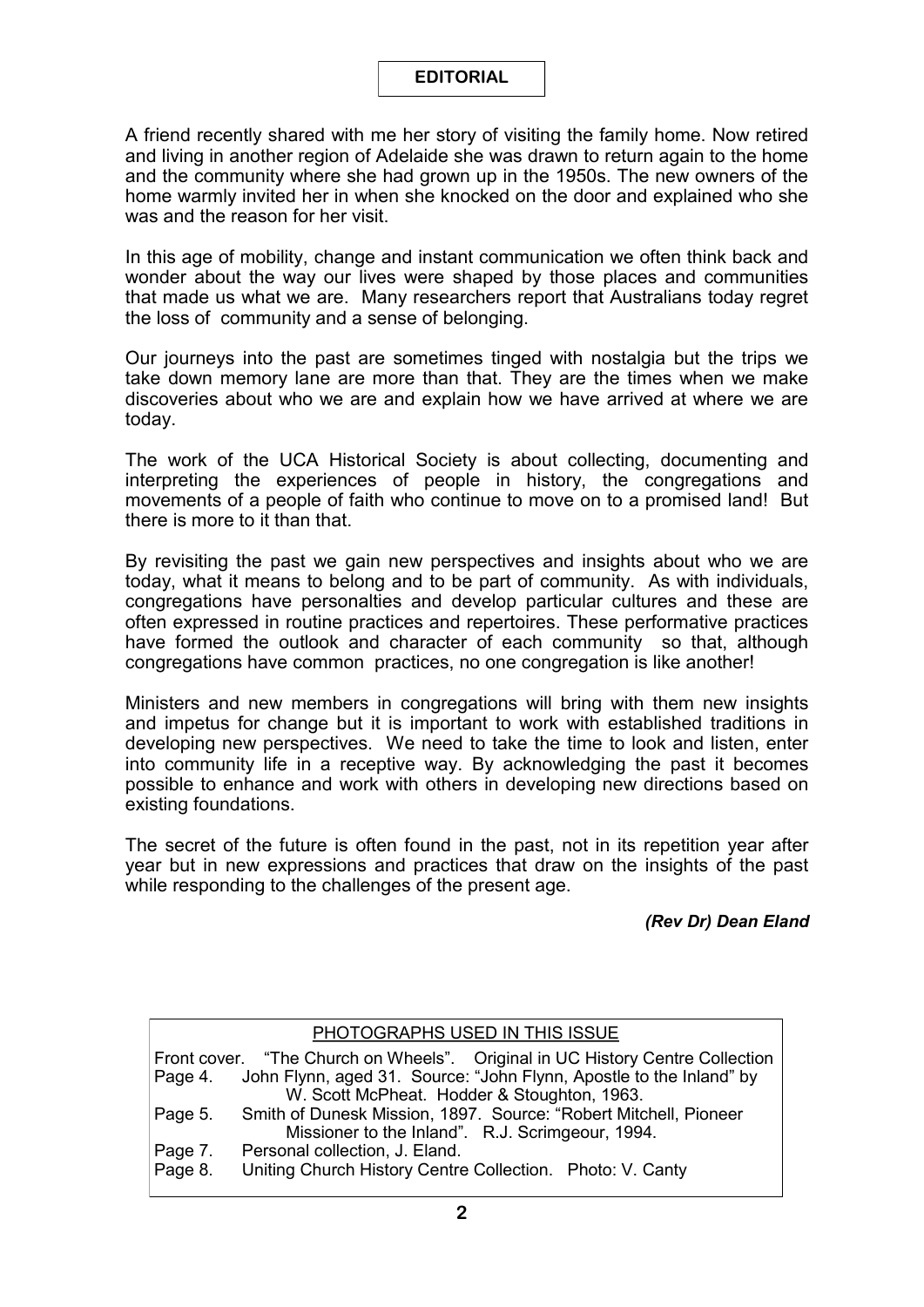## **EDITORIAL**

A friend recently shared with me her story of visiting the family home. Now retired and living in another region of Adelaide she was drawn to return again to the home and the community where she had grown up in the 1950s. The new owners of the home warmly invited her in when she knocked on the door and explained who she was and the reason for her visit.

In this age of mobility, change and instant communication we often think back and wonder about the way our lives were shaped by those places and communities that made us what we are. Many researchers report that Australians today regret the loss of community and a sense of belonging.

Our journeys into the past are sometimes tinged with nostalgia but the trips we take down memory lane are more than that. They are the times when we make discoveries about who we are and explain how we have arrived at where we are today.

The work of the UCA Historical Society is about collecting, documenting and interpreting the experiences of people in history, the congregations and movements of a people of faith who continue to move on to a promised land! But there is more to it than that.

By revisiting the past we gain new perspectives and insights about who we are today, what it means to belong and to be part of community. As with individuals, congregations have personalties and develop particular cultures and these are often expressed in routine practices and repertoires. These performative practices have formed the outlook and character of each community so that, although congregations have common practices, no one congregation is like another!

Ministers and new members in congregations will bring with them new insights and impetus for change but it is important to work with established traditions in developing new perspectives. We need to take the time to look and listen, enter into community life in a receptive way. By acknowledging the past it becomes possible to enhance and work with others in developing new directions based on existing foundations.

The secret of the future is often found in the past, not in its repetition year after year but in new expressions and practices that draw on the insights of the past while responding to the challenges of the present age.

## *(Rev Dr) Dean Eland*

#### PHOTOGRAPHS USED IN THIS ISSUE Front cover. "The Church on Wheels". Original in UC History Centre Collection Page 4. John Flynn. aged 31. Source: "John Flynn. Apostle to the Inland" by John Flynn, aged 31. Source: "John Flynn, Apostle to the Inland" by W. Scott McPheat. Hodder & Stoughton, 1963. Page 5. Smith of Dunesk Mission, 1897. Source: "Robert Mitchell, Pioneer Missioner to the Inland". R.J. Scrimgeour, 1994. Page 7. Personal collection, J. Eland. Page 8. Uniting Church History Centre Collection. Photo: V. Canty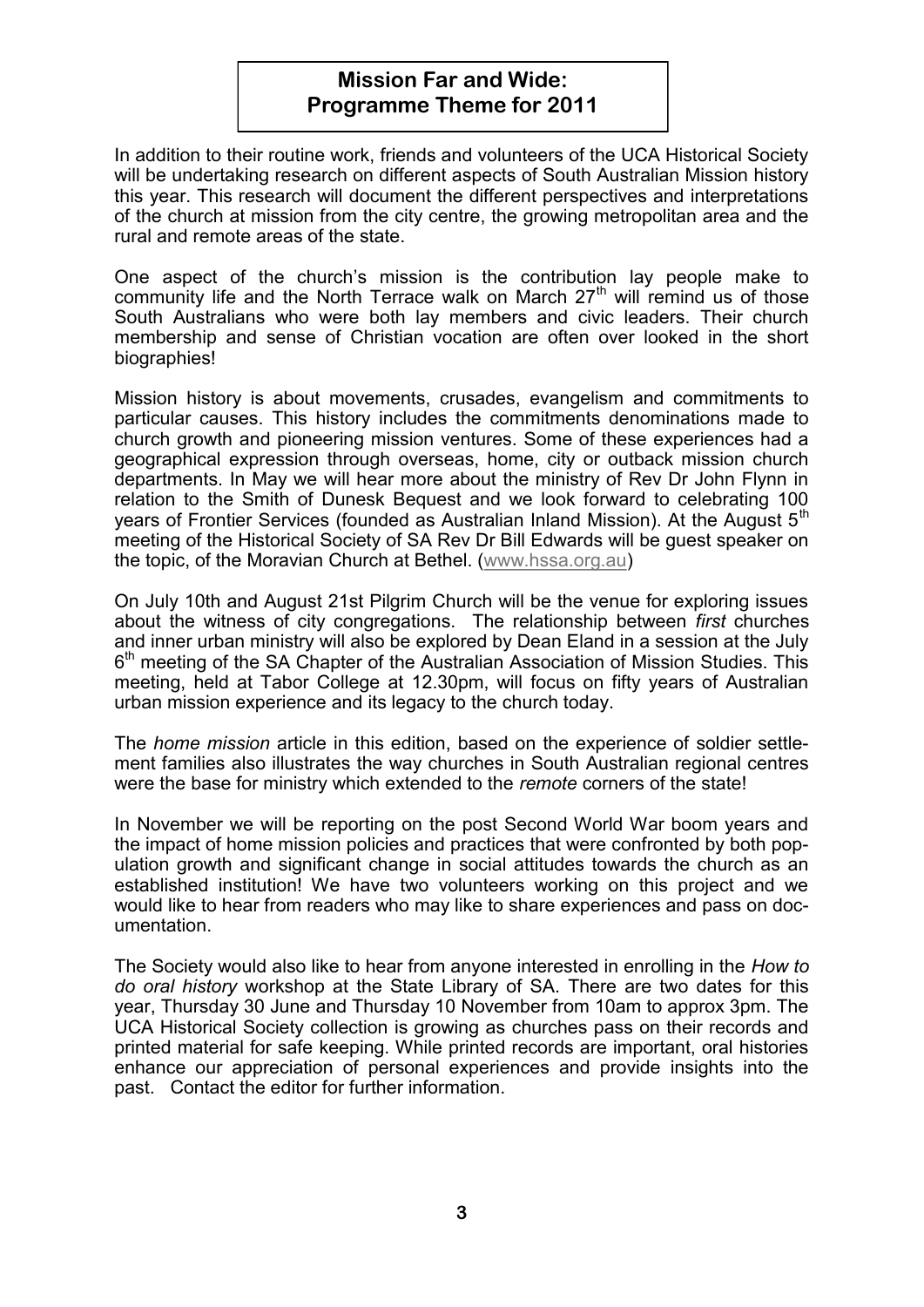# **Mission Far and Wide: Programme Theme for 2011**

In addition to their routine work, friends and volunteers of the UCA Historical Society will be undertaking research on different aspects of South Australian Mission history this year. This research will document the different perspectives and interpretations of the church at mission from the city centre, the growing metropolitan area and the rural and remote areas of the state.

One aspect of the church's mission is the contribution lay people make to community life and the North Terrace walk on March  $27<sup>th</sup>$  will remind us of those South Australians who were both lay members and civic leaders. Their church membership and sense of Christian vocation are often over looked in the short biographies!

Mission history is about movements, crusades, evangelism and commitments to particular causes. This history includes the commitments denominations made to church growth and pioneering mission ventures. Some of these experiences had a geographical expression through overseas, home, city or outback mission church departments. In May we will hear more about the ministry of Rev Dr John Flynn in relation to the Smith of Dunesk Bequest and we look forward to celebrating 100 years of Frontier Services (founded as Australian Inland Mission). At the August 5<sup>th</sup> meeting of the Historical Society of SA Rev Dr Bill Edwards will be guest speaker on the topic, of the Moravian Church at Bethel. ([www.hssa.org.au\)](http://www.hssa.org.au/) 

On July 10th and August 21st Pilgrim Church will be the venue for exploring issues about the witness of city congregations. The relationship between *first* churches and inner urban ministry will also be explored by Dean Eland in a session at the July 6<sup>th</sup> meeting of the SA Chapter of the Australian Association of Mission Studies. This meeting, held at Tabor College at 12.30pm, will focus on fifty years of Australian urban mission experience and its legacy to the church today.

The *home mission* article in this edition, based on the experience of soldier settlement families also illustrates the way churches in South Australian regional centres were the base for ministry which extended to the *remote* corners of the state!

In November we will be reporting on the post Second World War boom years and the impact of home mission policies and practices that were confronted by both population growth and significant change in social attitudes towards the church as an established institution! We have two volunteers working on this project and we would like to hear from readers who may like to share experiences and pass on documentation.

The Society would also like to hear from anyone interested in enrolling in the *How to do oral history* workshop at the State Library of SA. There are two dates for this year, Thursday 30 June and Thursday 10 November from 10am to approx 3pm. The UCA Historical Society collection is growing as churches pass on their records and printed material for safe keeping. While printed records are important, oral histories enhance our appreciation of personal experiences and provide insights into the past. Contact the editor for further information.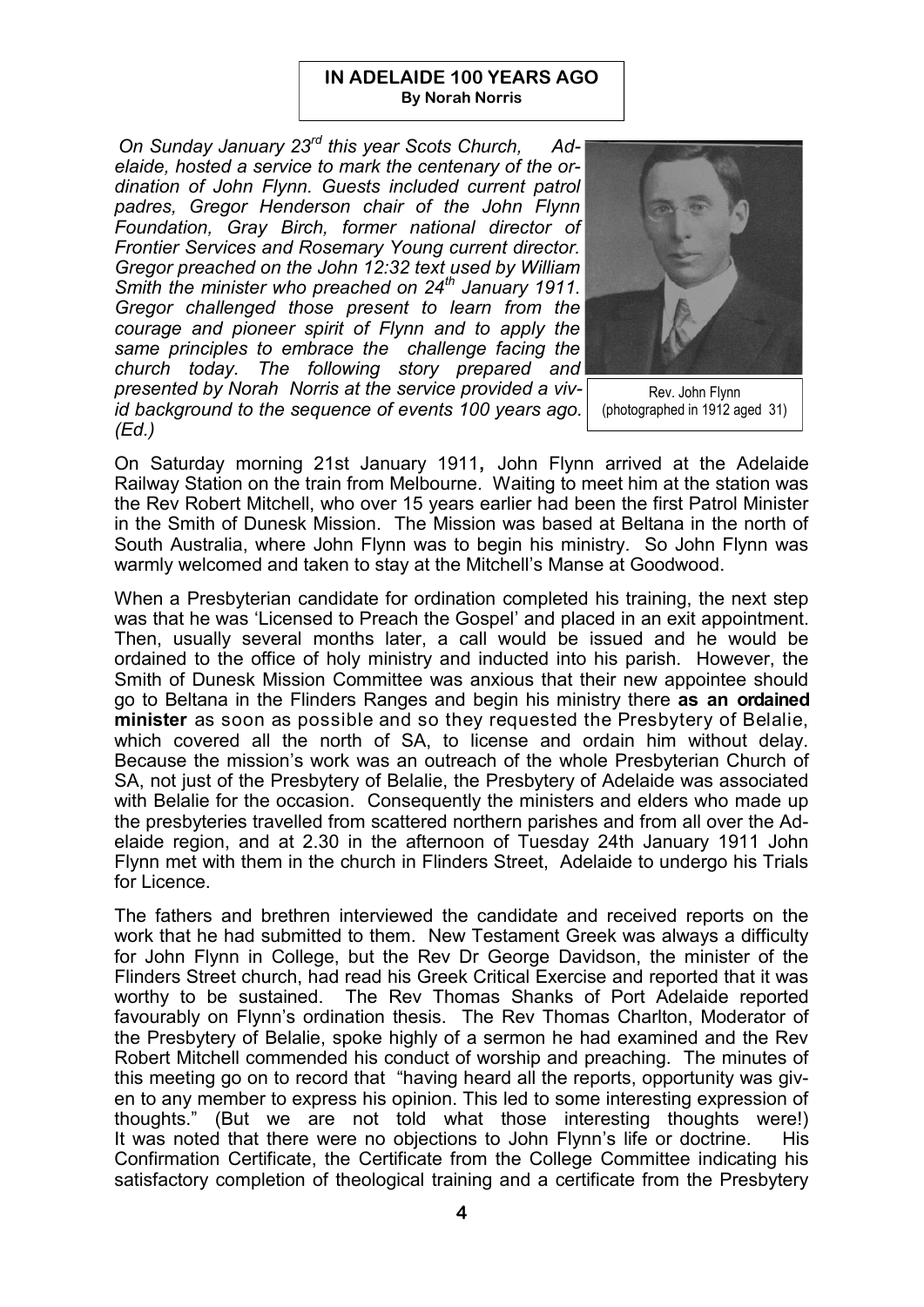#### **IN ADELAIDE 100 YEARS AGO By Norah Norris**

*On Sunday January 23rd this year Scots Church, Adelaide, hosted a service to mark the centenary of the ordination of John Flynn. Guests included current patrol padres, Gregor Henderson chair of the John Flynn Foundation, Gray Birch, former national director of Frontier Services and Rosemary Young current director. Gregor preached on the John 12:32 text used by William Smith the minister who preached on 24th January 1911. Gregor challenged those present to learn from the courage and pioneer spirit of Flynn and to apply the same principles to embrace the challenge facing the church today. The following story prepared and presented by Norah Norris at the service provided a vivid background to the sequence of events 100 years ago. (Ed.)*



Rev. John Flynn (photographed in 1912 aged 31)

On Saturday morning 21st January 1911**,** John Flynn arrived at the Adelaide Railway Station on the train from Melbourne. Waiting to meet him at the station was the Rev Robert Mitchell, who over 15 years earlier had been the first Patrol Minister in the Smith of Dunesk Mission. The Mission was based at Beltana in the north of South Australia, where John Flynn was to begin his ministry. So John Flynn was warmly welcomed and taken to stay at the Mitchell's Manse at Goodwood.

When a Presbyterian candidate for ordination completed his training, the next step was that he was 'Licensed to Preach the Gospel' and placed in an exit appointment. Then, usually several months later, a call would be issued and he would be ordained to the office of holy ministry and inducted into his parish. However, the Smith of Dunesk Mission Committee was anxious that their new appointee should go to Beltana in the Flinders Ranges and begin his ministry there **as an ordained minister** as soon as possible and so they requested the Presbytery of Belalie, which covered all the north of SA, to license and ordain him without delay. Because the mission's work was an outreach of the whole Presbyterian Church of SA, not just of the Presbytery of Belalie, the Presbytery of Adelaide was associated with Belalie for the occasion. Consequently the ministers and elders who made up the presbyteries travelled from scattered northern parishes and from all over the Adelaide region, and at 2.30 in the afternoon of Tuesday 24th January 1911 John Flynn met with them in the church in Flinders Street, Adelaide to undergo his Trials for Licence.

The fathers and brethren interviewed the candidate and received reports on the work that he had submitted to them. New Testament Greek was always a difficulty for John Flynn in College, but the Rev Dr George Davidson, the minister of the Flinders Street church, had read his Greek Critical Exercise and reported that it was worthy to be sustained. The Rev Thomas Shanks of Port Adelaide reported favourably on Flynn's ordination thesis. The Rev Thomas Charlton, Moderator of the Presbytery of Belalie, spoke highly of a sermon he had examined and the Rev Robert Mitchell commended his conduct of worship and preaching. The minutes of this meeting go on to record that "having heard all the reports, opportunity was given to any member to express his opinion. This led to some interesting expression of thoughts." (But we are not told what those interesting thoughts were!) It was noted that there were no objections to John Flynn's life or doctrine. His Confirmation Certificate, the Certificate from the College Committee indicating his satisfactory completion of theological training and a certificate from the Presbytery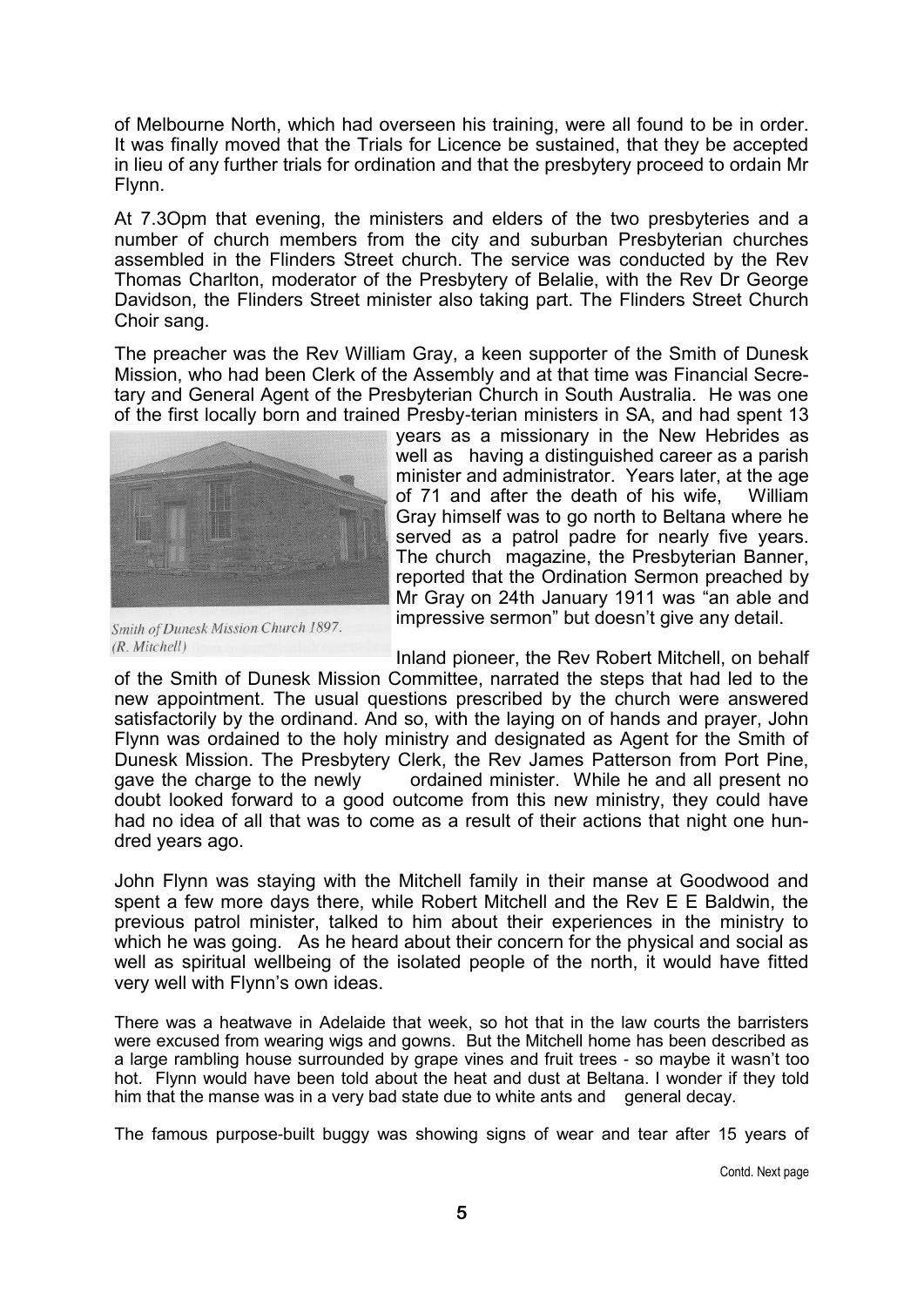of Melbourne North, which had overseen his training, were all found to be in order. It was finally moved that the Trials for Licence be sustained, that they be accepted in lieu of any further trials for ordination and that the presbytery proceed to ordain Mr Flynn.

At 7.3Opm that evening, the ministers and elders of the two presbyteries and a number of church members from the city and suburban Presbyterian churches assembled in the Flinders Street church. The service was conducted by the Rev Thomas Charlton, moderator of the Presbytery of Belalie, with the Rev Dr George Davidson, the Flinders Street minister also taking part. The Flinders Street Church Choir sang.

The preacher was the Rev William Gray, a keen supporter of the Smith of Dunesk Mission, who had been Clerk of the Assembly and at that time was Financial Secretary and General Agent of the Presbyterian Church in South Australia. He was one of the first locally born and trained Presby-terian ministers in SA, and had spent 13



Smith of Dunesk Mission Church 1897.  $(R. Mitchell)$ 

years as a missionary in the New Hebrides as well as having a distinguished career as a parish minister and administrator. Years later, at the age of 71 and after the death of his wife, William Gray himself was to go north to Beltana where he served as a patrol padre for nearly five years. The church magazine, the Presbyterian Banner, reported that the Ordination Sermon preached by Mr Gray on 24th January 1911 was "an able and impressive sermon" but doesn't give any detail.

Inland pioneer, the Rev Robert Mitchell, on behalf

of the Smith of Dunesk Mission Committee, narrated the steps that had led to the new appointment. The usual questions prescribed by the church were answered satisfactorily by the ordinand. And so, with the laying on of hands and prayer, John Flynn was ordained to the holy ministry and designated as Agent for the Smith of Dunesk Mission. The Presbytery Clerk, the Rev James Patterson from Port Pine, gave the charge to the newly ordained minister. While he and all present no doubt looked forward to a good outcome from this new ministry, they could have had no idea of all that was to come as a result of their actions that night one hundred years ago.

John Flynn was staying with the Mitchell family in their manse at Goodwood and spent a few more days there, while Robert Mitchell and the Rev E E Baldwin, the previous patrol minister, talked to him about their experiences in the ministry to which he was going. As he heard about their concern for the physical and social as well as spiritual wellbeing of the isolated people of the north, it would have fitted very well with Flynn's own ideas.

There was a heatwave in Adelaide that week, so hot that in the law courts the barristers were excused from wearing wigs and gowns. But the Mitchell home has been described as a large rambling house surrounded by grape vines and fruit trees - so maybe it wasn't too hot. Flynn would have been told about the heat and dust at Beltana. I wonder if they told him that the manse was in a very bad state due to white ants and general decay.

The famous purpose-built buggy was showing signs of wear and tear after 15 years of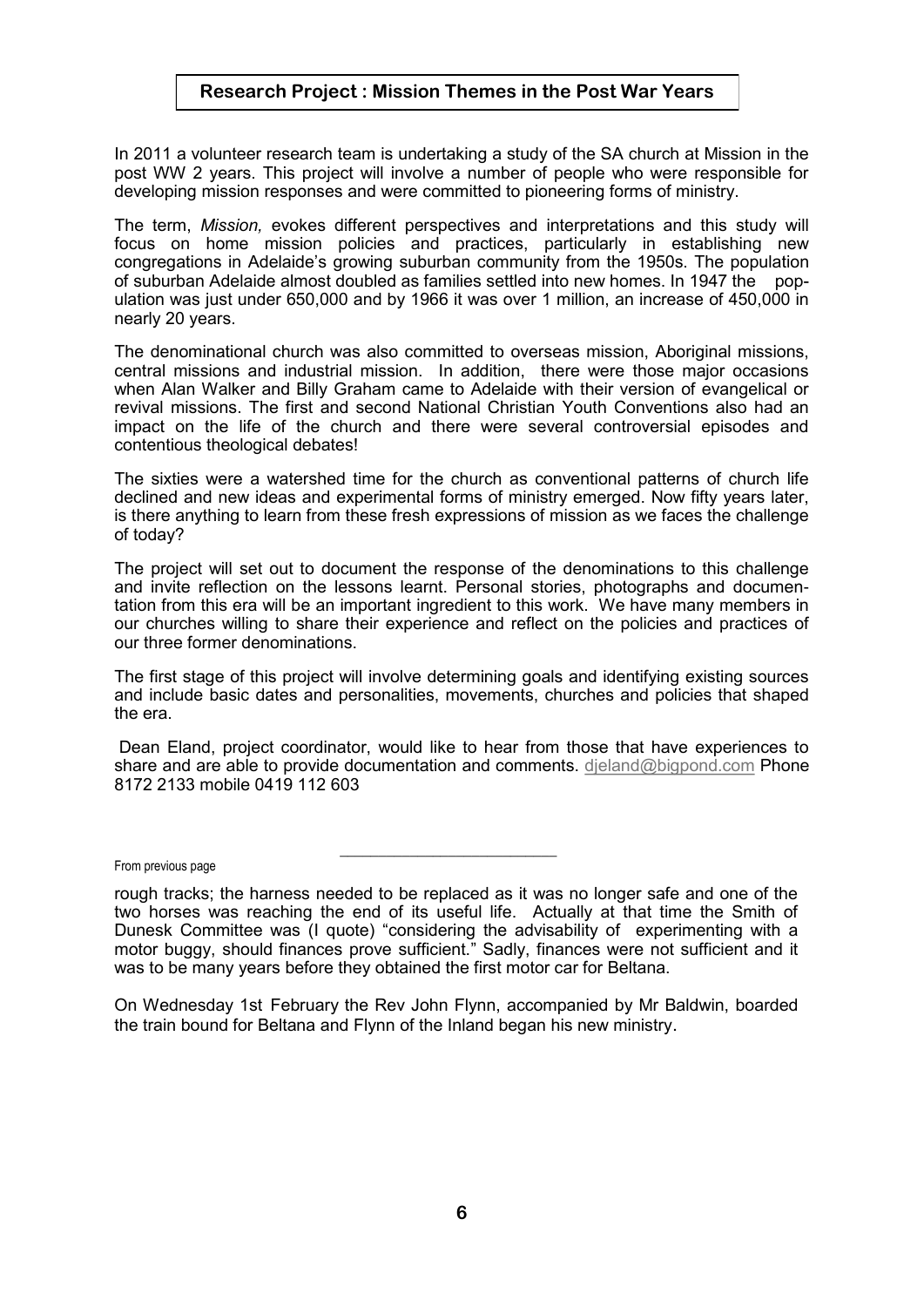## **Research Project : Mission Themes in the Post War Years**

In 2011 a volunteer research team is undertaking a study of the SA church at Mission in the post WW 2 years. This project will involve a number of people who were responsible for developing mission responses and were committed to pioneering forms of ministry.

The term, *Mission,* evokes different perspectives and interpretations and this study will focus on home mission policies and practices, particularly in establishing new congregations in Adelaide's growing suburban community from the 1950s. The population of suburban Adelaide almost doubled as families settled into new homes. In 1947 the population was just under 650,000 and by 1966 it was over 1 million, an increase of 450,000 in nearly 20 years.

The denominational church was also committed to overseas mission, Aboriginal missions, central missions and industrial mission. In addition, there were those major occasions when Alan Walker and Billy Graham came to Adelaide with their version of evangelical or revival missions. The first and second National Christian Youth Conventions also had an impact on the life of the church and there were several controversial episodes and contentious theological debates!

The sixties were a watershed time for the church as conventional patterns of church life declined and new ideas and experimental forms of ministry emerged. Now fifty years later, is there anything to learn from these fresh expressions of mission as we faces the challenge of today?

The project will set out to document the response of the denominations to this challenge and invite reflection on the lessons learnt. Personal stories, photographs and documentation from this era will be an important ingredient to this work. We have many members in our churches willing to share their experience and reflect on the policies and practices of our three former denominations.

The first stage of this project will involve determining goals and identifying existing sources and include basic dates and personalities, movements, churches and policies that shaped the era.

Dean Eland, project coordinator, would like to hear from those that have experiences to share and are able to provide documentation and comments. [djeland@bigpond.com](mailto:djeland@bigpond.com) Phone 8172 2133 mobile 0419 112 603

From previous page

**\_\_\_\_\_\_\_\_\_\_\_\_\_\_\_\_\_\_\_\_\_\_\_\_\_\_\_\_**

On Wednesday 1st February the Rev John Flynn, accompanied by Mr Baldwin, boarded the train bound for Beltana and Flynn of the Inland began his new ministry.

rough tracks; the harness needed to be replaced as it was no longer safe and one of the two horses was reaching the end of its useful life. Actually at that time the Smith of Dunesk Committee was (I quote) "considering the advisability of experimenting with a motor buggy, should finances prove sufficient." Sadly, finances were not sufficient and it was to be many years before they obtained the first motor car for Beltana.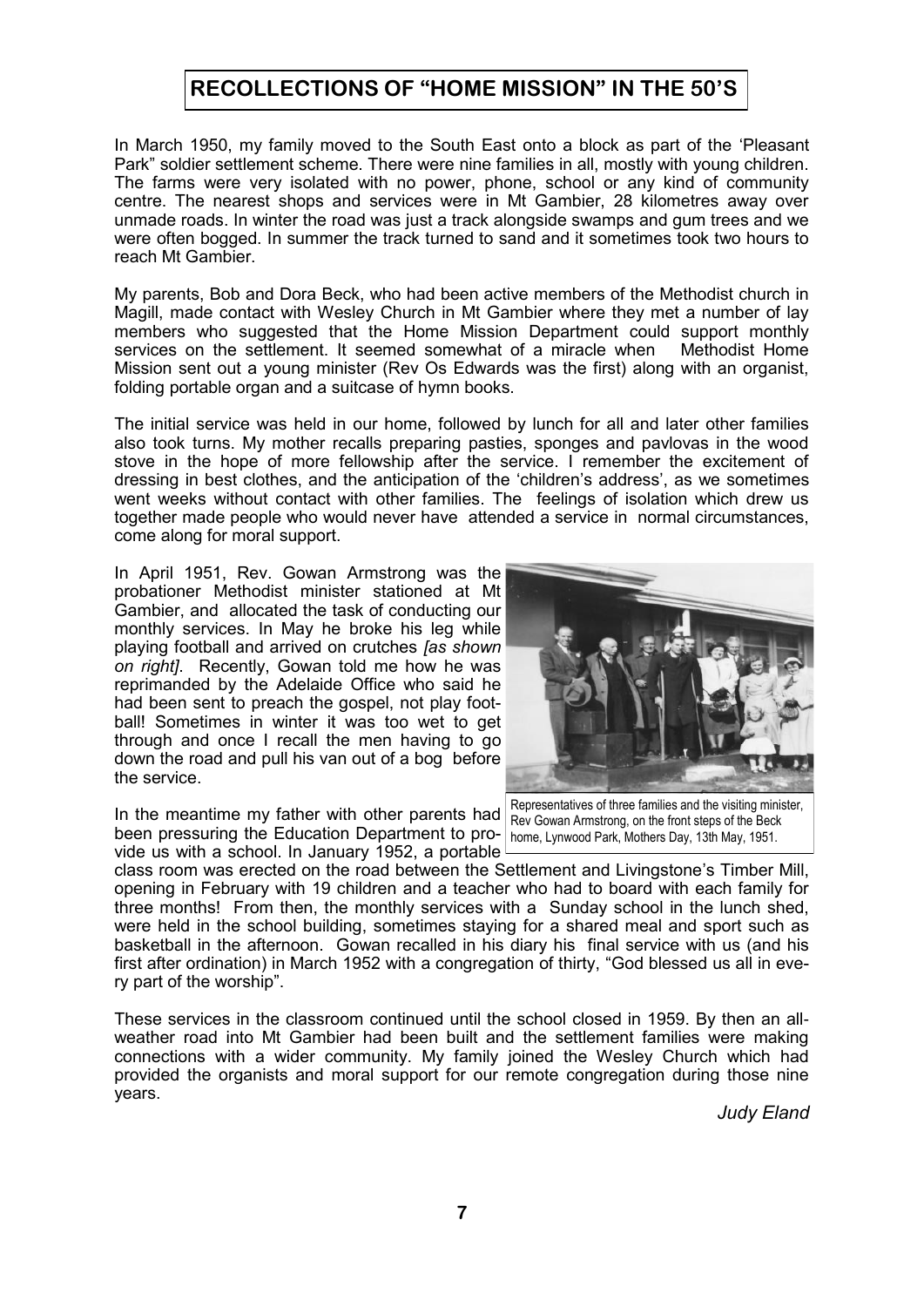## **RECOLLECTIONS OF "HOME MISSION" IN THE 50'S**

In March 1950, my family moved to the South East onto a block as part of the 'Pleasant Park" soldier settlement scheme. There were nine families in all, mostly with young children. The farms were very isolated with no power, phone, school or any kind of community centre. The nearest shops and services were in Mt Gambier, 28 kilometres away over unmade roads. In winter the road was just a track alongside swamps and gum trees and we were often bogged. In summer the track turned to sand and it sometimes took two hours to reach Mt Gambier.

My parents, Bob and Dora Beck, who had been active members of the Methodist church in Magill, made contact with Wesley Church in Mt Gambier where they met a number of lay members who suggested that the Home Mission Department could support monthly services on the settlement. It seemed somewhat of a miracle when Methodist Home Mission sent out a young minister (Rev Os Edwards was the first) along with an organist, folding portable organ and a suitcase of hymn books.

The initial service was held in our home, followed by lunch for all and later other families also took turns. My mother recalls preparing pasties, sponges and pavlovas in the wood stove in the hope of more fellowship after the service. I remember the excitement of dressing in best clothes, and the anticipation of the 'children's address', as we sometimes went weeks without contact with other families. The feelings of isolation which drew us together made people who would never have attended a service in normal circumstances, come along for moral support.

In April 1951, Rev. Gowan Armstrong was the probationer Methodist minister stationed at Mt Gambier, and allocated the task of conducting our monthly services. In May he broke his leg while playing football and arrived on crutches *[as shown on right]*. Recently, Gowan told me how he was reprimanded by the Adelaide Office who said he had been sent to preach the gospel, not play football! Sometimes in winter it was too wet to get through and once I recall the men having to go down the road and pull his van out of a bog before the service.

In the meantime my father with other parents had been pressuring the Education Department to pro- home, Lynwood Park, Mothers Day, 13th May, 1951. vide us with a school. In January 1952, a portable



Representatives of three families and the visiting minister, Rev Gowan Armstrong, on the front steps of the Beck

class room was erected on the road between the Settlement and Livingstone's Timber Mill, opening in February with 19 children and a teacher who had to board with each family for three months! From then, the monthly services with a Sunday school in the lunch shed, were held in the school building, sometimes staying for a shared meal and sport such as basketball in the afternoon. Gowan recalled in his diary his final service with us (and his first after ordination) in March 1952 with a congregation of thirty, "God blessed us all in every part of the worship".

These services in the classroom continued until the school closed in 1959. By then an allweather road into Mt Gambier had been built and the settlement families were making connections with a wider community. My family joined the Wesley Church which had provided the organists and moral support for our remote congregation during those nine years.

*Judy Eland*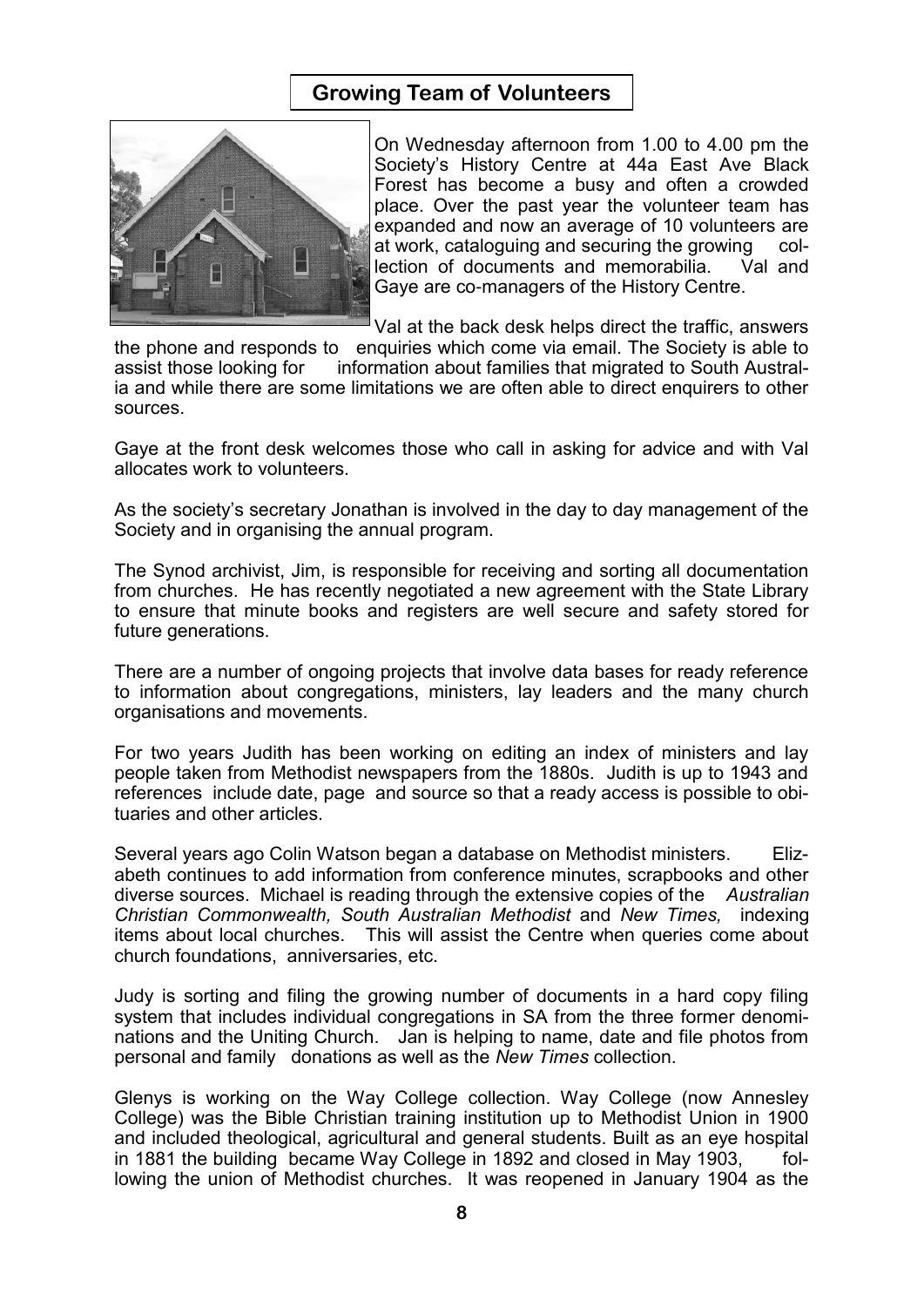## **Growing Team of Volunteers**



On Wednesday afternoon from 1.00 to 4.00 pm the Society's History Centre at 44a East Ave Black Forest has become a busy and often a crowded place. Over the past year the volunteer team has expanded and now an average of 10 volunteers are at work, cataloguing and securing the growing collection of documents and memorabilia. Val and Gaye are co-managers of the History Centre.

Val at the back desk helps direct the traffic, answers

the phone and responds to enquiries which come via email. The Society is able to assist those looking for information about families that migrated to South Australia and while there are some limitations we are often able to direct enquirers to other sources.

Gaye at the front desk welcomes those who call in asking for advice and with Val allocates work to volunteers.

As the society's secretary Jonathan is involved in the day to day management of the Society and in organising the annual program.

The Synod archivist, Jim, is responsible for receiving and sorting all documentation from churches. He has recently negotiated a new agreement with the State Library to ensure that minute books and registers are well secure and safety stored for future generations.

There are a number of ongoing projects that involve data bases for ready reference to information about congregations, ministers, lay leaders and the many church organisations and movements.

For two years Judith has been working on editing an index of ministers and lay people taken from Methodist newspapers from the 1880s. Judith is up to 1943 and references include date, page and source so that a ready access is possible to obituaries and other articles.

Several years ago Colin Watson began a database on Methodist ministers. Elizabeth continues to add information from conference minutes, scrapbooks and other diverse sources. Michael is reading through the extensive copies of the *Australian Christian Commonwealth, South Australian Methodist* and *New Times,* indexing items about local churches. This will assist the Centre when queries come about church foundations, anniversaries, etc.

Judy is sorting and filing the growing number of documents in a hard copy filing system that includes individual congregations in SA from the three former denominations and the Uniting Church. Jan is helping to name, date and file photos from personal and family donations as well as the *New Times* collection.

Glenys is working on the Way College collection. Way College (now Annesley College) was the Bible Christian training institution up to Methodist Union in 1900 and included theological, agricultural and general students. Built as an eye hospital in 1881 the building became Way College in 1892 and closed in May 1903, following the union of Methodist churches. It was reopened in January 1904 as the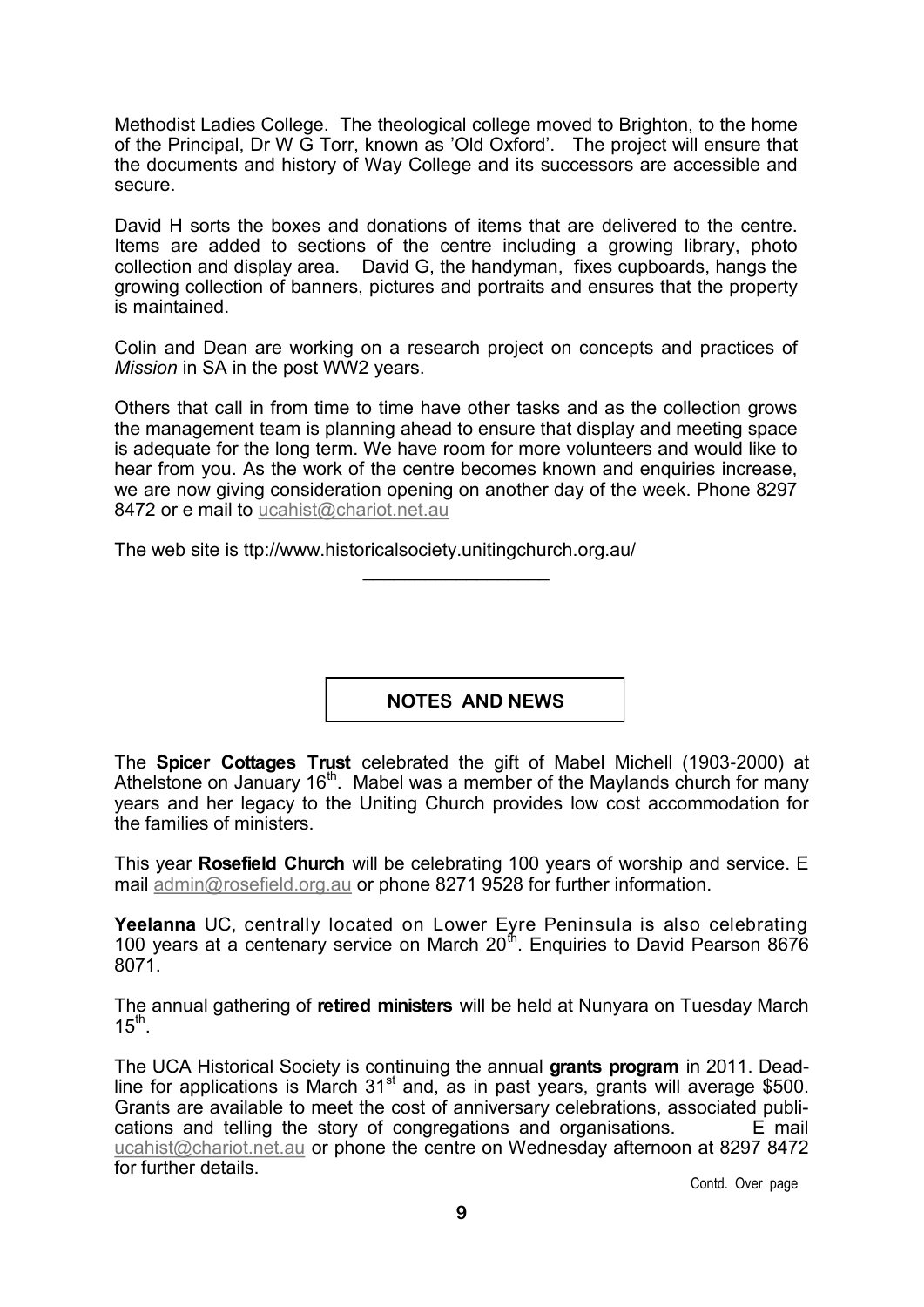Methodist Ladies College. The theological college moved to Brighton, to the home of the Principal, Dr W G Torr, known as 'Old Oxford'. The project will ensure that the documents and history of Way College and its successors are accessible and secure.

David H sorts the boxes and donations of items that are delivered to the centre. Items are added to sections of the centre including a growing library, photo collection and display area. David G, the handyman, fixes cupboards, hangs the growing collection of banners, pictures and portraits and ensures that the property is maintained.

Colin and Dean are working on a research project on concepts and practices of *Mission* in SA in the post WW2 years.

Others that call in from time to time have other tasks and as the collection grows the management team is planning ahead to ensure that display and meeting space is adequate for the long term. We have room for more volunteers and would like to hear from you. As the work of the centre becomes known and enquiries increase, we are now giving consideration opening on another day of the week. Phone 8297 8472 or e mail to ucahist@chariot.net.au

\_\_\_\_\_\_\_\_\_\_\_\_\_\_\_\_\_\_

The web site is ttp://www.historicalsociety.unitingchurch.org.au/

**NOTES AND NEWS**

The **Spicer Cottages Trust** celebrated the gift of Mabel Michell (1903-2000) at Athelstone on January 16<sup>th</sup>. Mabel was a member of the Maylands church for many years and her legacy to the Uniting Church provides low cost accommodation for the families of ministers.

This year **Rosefield Church** will be celebrating 100 years of worship and service. E mail [admin@rosefield.org.au](mailto:admin@rosefield.org.au) or phone 8271 9528 for further information.

**Yeelanna** UC, centrally located on Lower Eyre Peninsula is also celebrating 100 years at a centenary service on March 20 $<sup>th</sup>$ . Enquiries to David Pearson 8676</sup> 8071.

The annual gathering of **retired ministers** will be held at Nunyara on Tuesday March  $15<sup>th</sup>$ .

The UCA Historical Society is continuing the annual **grants program** in 2011. Deadline for applications is March  $31<sup>st</sup>$  and, as in past years, grants will average \$500. Grants are available to meet the cost of anniversary celebrations, associated publications and telling the story of congregations and organisations.  $E$  mail [ucahist@chariot.net.au](mailto:ucahist@chariot.net.au) or phone the centre on Wednesday afternoon at 8297 8472 for further details.